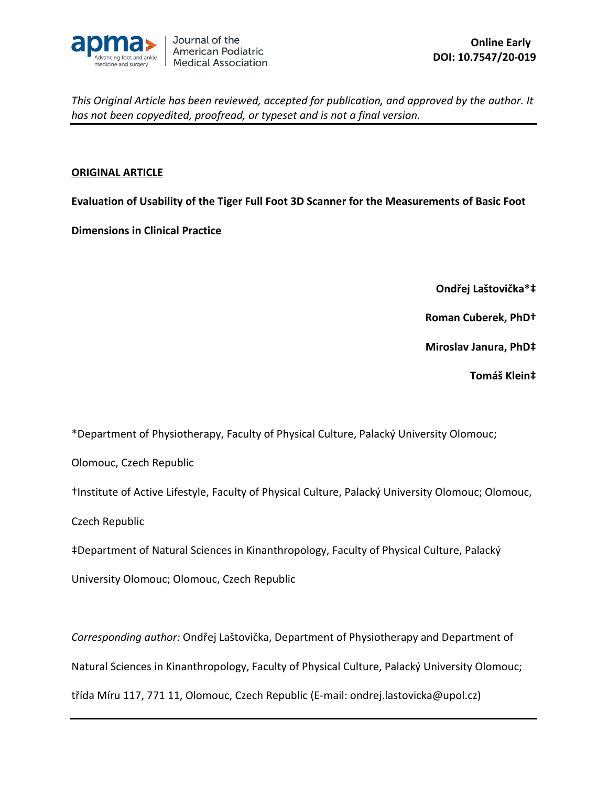

## **ORIGINAL ARTICLE**

**Evaluation of Usability of the Tiger Full Foot 3D Scanner for the Measurements of Basic Foot** 

**Dimensions in Clinical Practice**

**Ondřej Laštovička\*‡**

**Roman Cuberek, PhD†**

**Miroslav Janura, PhD‡**

**Tomáš Klein‡**

\*Department of Physiotherapy, Faculty of Physical Culture, Palacký University Olomouc;

Olomouc, Czech Republic

†Institute of Active Lifestyle, Faculty of Physical Culture, Palacký University Olomouc; Olomouc,

Czech Republic

‡Department of Natural Sciences in Kinanthropology, Faculty of Physical Culture, Palacký

University Olomouc; Olomouc, Czech Republic

*Corresponding author:* Ondřej Laštovička, Department of Physiotherapy and Department of

Natural Sciences in Kinanthropology, Faculty of Physical Culture, Palacký University Olomouc;

třída Míru 117, 771 11, Olomouc, Czech Republic (E-mail: ondrej.lastovicka@upol.cz)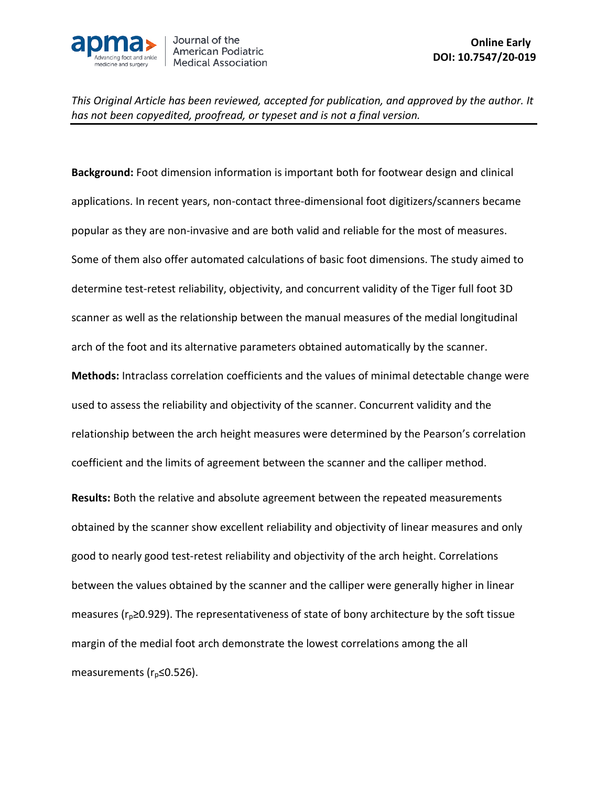

**Background:** Foot dimension information is important both for footwear design and clinical applications. In recent years, non-contact three-dimensional foot digitizers/scanners became popular as they are non-invasive and are both valid and reliable for the most of measures. Some of them also offer automated calculations of basic foot dimensions. The study aimed to determine test-retest reliability, objectivity, and concurrent validity of the Tiger full foot 3D scanner as well as the relationship between the manual measures of the medial longitudinal arch of the foot and its alternative parameters obtained automatically by the scanner. **Methods:** Intraclass correlation coefficients and the values of minimal detectable change were used to assess the reliability and objectivity of the scanner. Concurrent validity and the relationship between the arch height measures were determined by the Pearson's correlation coefficient and the limits of agreement between the scanner and the calliper method. **Results:** Both the relative and absolute agreement between the repeated measurements obtained by the scanner show excellent reliability and objectivity of linear measures and only good to nearly good test-retest reliability and objectivity of the arch height. Correlations between the values obtained by the scanner and the calliper were generally higher in linear measures ( $r_p$ ≥0.929). The representativeness of state of bony architecture by the soft tissue

margin of the medial foot arch demonstrate the lowest correlations among the all

measurements (r<sub>p</sub>≤0.526).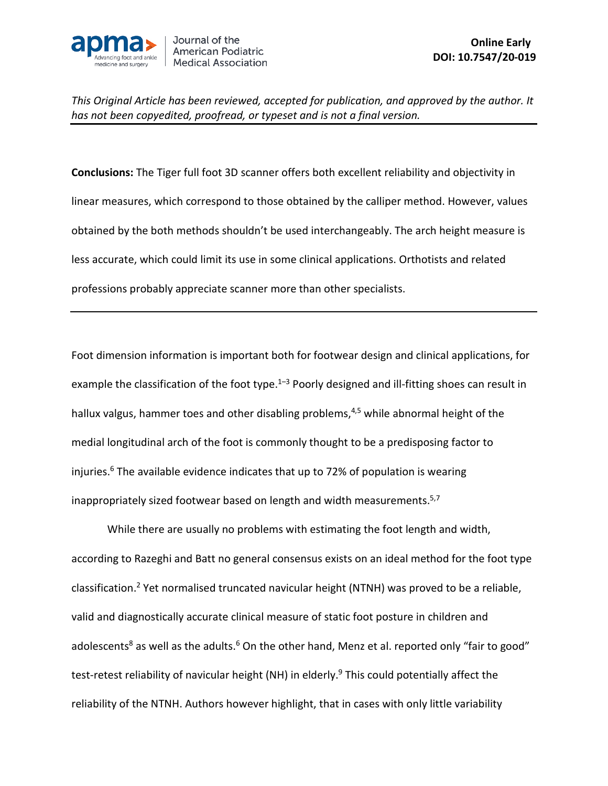

**Conclusions:** The Tiger full foot 3D scanner offers both excellent reliability and objectivity in linear measures, which correspond to those obtained by the calliper method. However, values obtained by the both methods shouldn't be used interchangeably. The arch height measure is less accurate, which could limit its use in some clinical applications. Orthotists and related professions probably appreciate scanner more than other specialists.

Foot dimension information is important both for footwear design and clinical applications, for example the classification of the foot type.<sup>1-3</sup> Poorly designed and ill-fitting shoes can result in hallux valgus, hammer toes and other disabling problems,<sup>4,5</sup> while abnormal height of the medial longitudinal arch of the foot is commonly thought to be a predisposing factor to injuries. <sup>6</sup> The available evidence indicates that up to 72% of population is wearing inappropriately sized footwear based on length and width measurements.<sup>5,7</sup>

While there are usually no problems with estimating the foot length and width, according to Razeghi and Batt no general consensus exists on an ideal method for the foot type classification. <sup>2</sup> Yet normalised truncated navicular height (NTNH) was proved to be a reliable, valid and diagnostically accurate clinical measure of static foot posture in children and adolescents<sup>8</sup> as well as the adults.<sup>6</sup> On the other hand, Menz et al. reported only "fair to good" test-retest reliability of navicular height (NH) in elderly. <sup>9</sup> This could potentially affect the reliability of the NTNH. Authors however highlight, that in cases with only little variability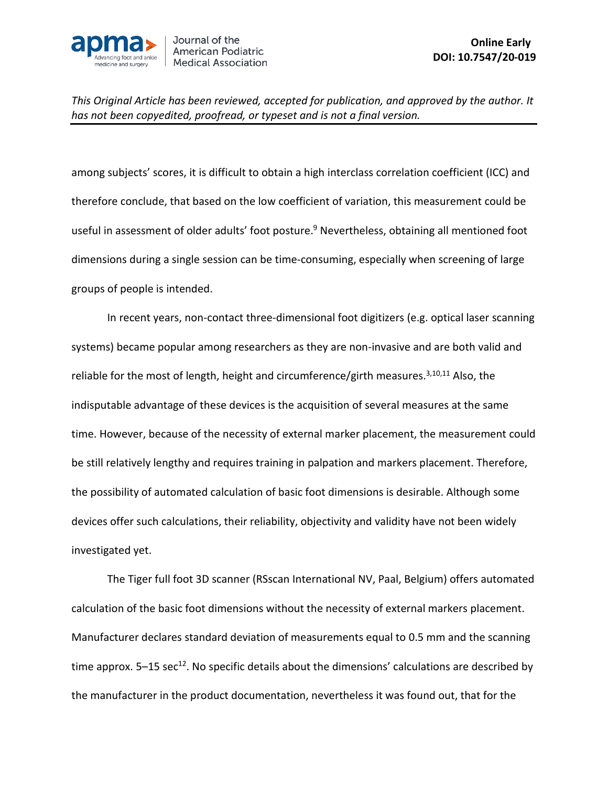

among subjects' scores, it is difficult to obtain a high interclass correlation coefficient (ICC) and therefore conclude, that based on the low coefficient of variation, this measurement could be useful in assessment of older adults' foot posture. <sup>9</sup> Nevertheless, obtaining all mentioned foot dimensions during a single session can be time-consuming, especially when screening of large groups of people is intended.

In recent years, non-contact three-dimensional foot digitizers (e.g. optical laser scanning systems) became popular among researchers as they are non-invasive and are both valid and reliable for the most of length, height and circumference/girth measures.<sup>3,10,11</sup> Also, the indisputable advantage of these devices is the acquisition of several measures at the same time. However, because of the necessity of external marker placement, the measurement could be still relatively lengthy and requires training in palpation and markers placement. Therefore, the possibility of automated calculation of basic foot dimensions is desirable. Although some devices offer such calculations, their reliability, objectivity and validity have not been widely investigated yet.

The Tiger full foot 3D scanner (RSscan International NV, Paal, Belgium) offers automated calculation of the basic foot dimensions without the necessity of external markers placement. Manufacturer declares standard deviation of measurements equal to 0.5 mm and the scanning time approx.  $5-15$  sec<sup>12</sup>. No specific details about the dimensions' calculations are described by the manufacturer in the product documentation, nevertheless it was found out, that for the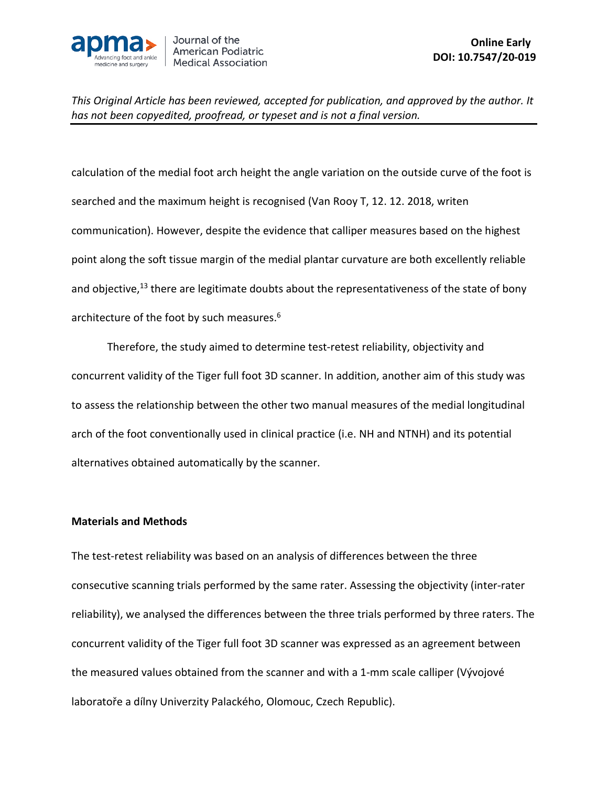

calculation of the medial foot arch height the angle variation on the outside curve of the foot is searched and the maximum height is recognised (Van Rooy T, 12. 12. 2018, writen communication). However, despite the evidence that calliper measures based on the highest point along the soft tissue margin of the medial plantar curvature are both excellently reliable and objective,<sup>13</sup> there are legitimate doubts about the representativeness of the state of bony architecture of the foot by such measures. 6

Therefore, the study aimed to determine test-retest reliability, objectivity and concurrent validity of the Tiger full foot 3D scanner. In addition, another aim of this study was to assess the relationship between the other two manual measures of the medial longitudinal arch of the foot conventionally used in clinical practice (i.e. NH and NTNH) and its potential alternatives obtained automatically by the scanner.

#### **Materials and Methods**

The test-retest reliability was based on an analysis of differences between the three consecutive scanning trials performed by the same rater. Assessing the objectivity (inter-rater reliability), we analysed the differences between the three trials performed by three raters. The concurrent validity of the Tiger full foot 3D scanner was expressed as an agreement between the measured values obtained from the scanner and with a 1-mm scale calliper (Vývojové laboratoře a dílny Univerzity Palackého, Olomouc, Czech Republic).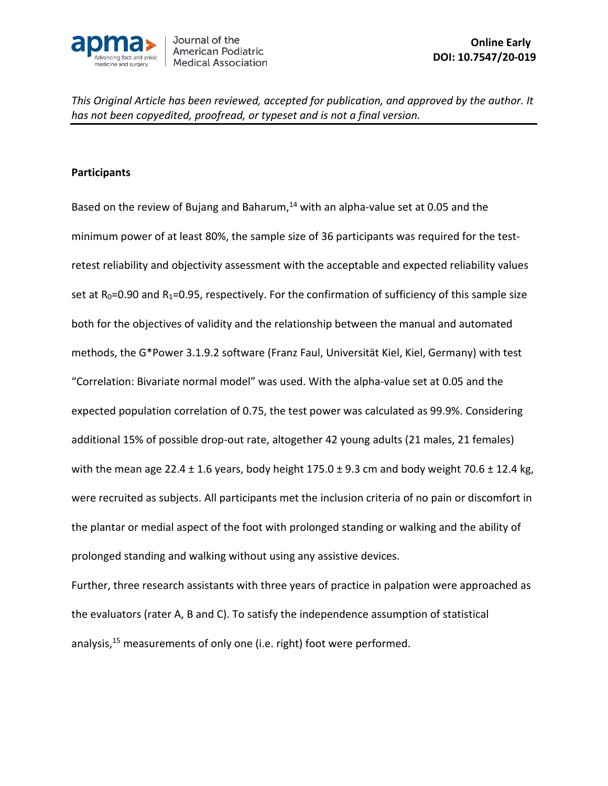

### **Participants**

Based on the review of Bujang and Baharum,<sup>14</sup> with an alpha-value set at 0.05 and the minimum power of at least 80%, the sample size of 36 participants was required for the testretest reliability and objectivity assessment with the acceptable and expected reliability values set at  $R_0$ =0.90 and  $R_1$ =0.95, respectively. For the confirmation of sufficiency of this sample size both for the objectives of validity and the relationship between the manual and automated methods, the G\*Power 3.1.9.2 software (Franz Faul, Universität Kiel, Kiel, Germany) with test "Correlation: Bivariate normal model" was used. With the alpha-value set at 0.05 and the expected population correlation of 0.75, the test power was calculated as 99.9%. Considering additional 15% of possible drop-out rate, altogether 42 young adults (21 males, 21 females) with the mean age 22.4  $\pm$  1.6 years, body height 175.0  $\pm$  9.3 cm and body weight 70.6  $\pm$  12.4 kg, were recruited as subjects. All participants met the inclusion criteria of no pain or discomfort in the plantar or medial aspect of the foot with prolonged standing or walking and the ability of prolonged standing and walking without using any assistive devices.

Further, three research assistants with three years of practice in palpation were approached as the evaluators (rater A, B and C). To satisfy the independence assumption of statistical analysis,<sup>15</sup> measurements of only one (i.e. right) foot were performed.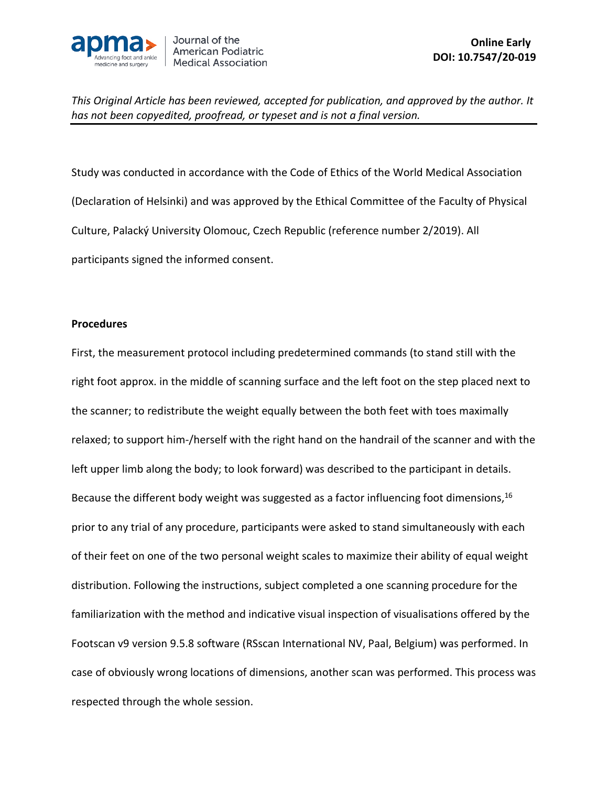

Study was conducted in accordance with the Code of Ethics of the World Medical Association (Declaration of Helsinki) and was approved by the Ethical Committee of the Faculty of Physical Culture, Palacký University Olomouc, Czech Republic (reference number 2/2019). All participants signed the informed consent.

#### **Procedures**

First, the measurement protocol including predetermined commands (to stand still with the right foot approx. in the middle of scanning surface and the left foot on the step placed next to the scanner; to redistribute the weight equally between the both feet with toes maximally relaxed; to support him-/herself with the right hand on the handrail of the scanner and with the left upper limb along the body; to look forward) was described to the participant in details. Because the different body weight was suggested as a factor influencing foot dimensions,<sup>16</sup> prior to any trial of any procedure, participants were asked to stand simultaneously with each of their feet on one of the two personal weight scales to maximize their ability of equal weight distribution. Following the instructions, subject completed a one scanning procedure for the familiarization with the method and indicative visual inspection of visualisations offered by the Footscan v9 version 9.5.8 software (RSscan International NV, Paal, Belgium) was performed. In case of obviously wrong locations of dimensions, another scan was performed. This process was respected through the whole session.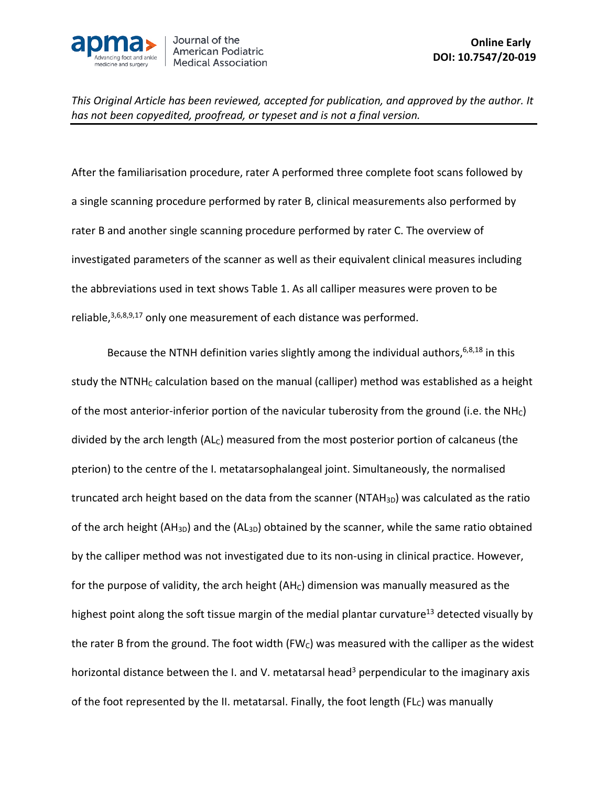

After the familiarisation procedure, rater A performed three complete foot scans followed by a single scanning procedure performed by rater B, clinical measurements also performed by rater B and another single scanning procedure performed by rater C. The overview of investigated parameters of the scanner as well as their equivalent clinical measures including the abbreviations used in text shows Table 1. As all calliper measures were proven to be reliable, $3,6,8,9,17$  only one measurement of each distance was performed.

Because the NTNH definition varies slightly among the individual authors, 6,8,18 in this study the NTNH<sub>C</sub> calculation based on the manual (calliper) method was established as a height of the most anterior-inferior portion of the navicular tuberosity from the ground (i.e. the NH $<sub>c</sub>$ )</sub> divided by the arch length (AL<sub>C</sub>) measured from the most posterior portion of calcaneus (the pterion) to the centre of the I. metatarsophalangeal joint. Simultaneously, the normalised truncated arch height based on the data from the scanner (NTAH $_{3D}$ ) was calculated as the ratio of the arch height (AH<sub>3D</sub>) and the (AL<sub>3D</sub>) obtained by the scanner, while the same ratio obtained by the calliper method was not investigated due to its non-using in clinical practice. However, for the purpose of validity, the arch height  $(AH_C)$  dimension was manually measured as the highest point along the soft tissue margin of the medial plantar curvature<sup>13</sup> detected visually by the rater B from the ground. The foot width (FW $<sub>c</sub>$ ) was measured with the calliper as the widest</sub> horizontal distance between the I. and V. metatarsal head<sup>3</sup> perpendicular to the imaginary axis of the foot represented by the II. metatarsal. Finally, the foot length ( $FL<sub>C</sub>$ ) was manually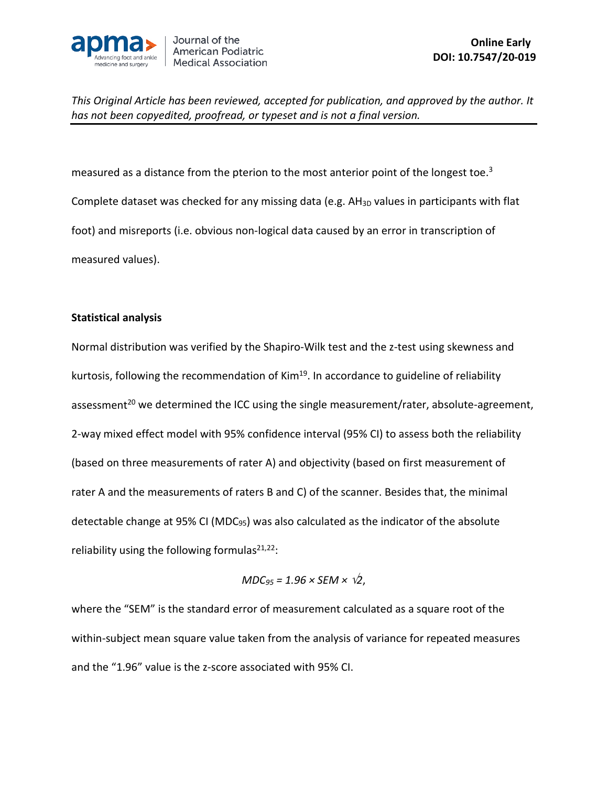

measured as a distance from the pterion to the most anterior point of the longest toe.<sup>3</sup> Complete dataset was checked for any missing data (e.g. AH<sub>3D</sub> values in participants with flat foot) and misreports (i.e. obvious non-logical data caused by an error in transcription of measured values).

#### **Statistical analysis**

Normal distribution was verified by the Shapiro-Wilk test and the z-test using skewness and kurtosis, following the recommendation of Kim $19$ . In accordance to guideline of reliability assessment<sup>20</sup> we determined the ICC using the single measurement/rater, absolute-agreement, 2-way mixed effect model with 95% confidence interval (95% CI) to assess both the reliability (based on three measurements of rater A) and objectivity (based on first measurement of rater A and the measurements of raters B and C) of the scanner. Besides that, the minimal detectable change at 95% CI (MDC95) was also calculated as the indicator of the absolute reliability using the following formulas $^{21,22}$ :

$$
MDC_{95} = 1.96 \times SEM \times \sqrt{2},
$$

where the "SEM" is the standard error of measurement calculated as a square root of the within-subject mean square value taken from the analysis of variance for repeated measures and the "1.96" value is the z-score associated with 95% CI.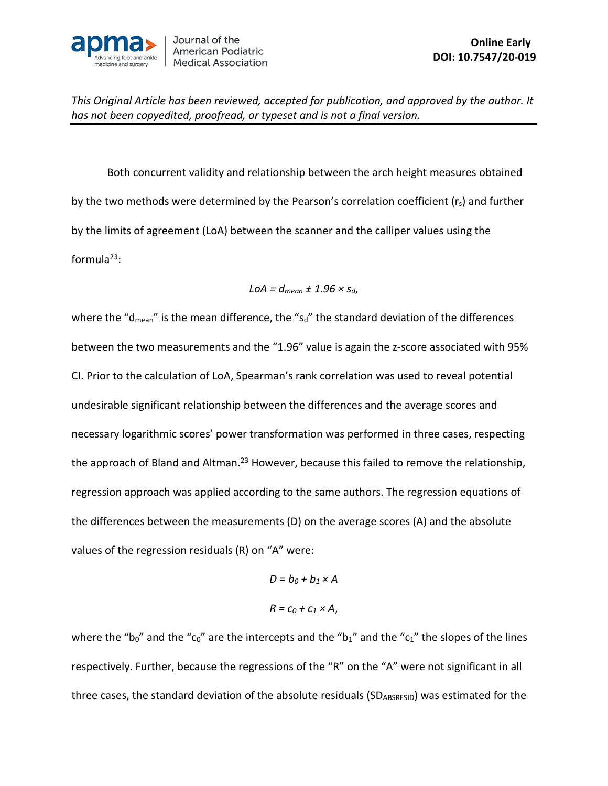

Both concurrent validity and relationship between the arch height measures obtained by the two methods were determined by the Pearson's correlation coefficient (r<sub>s</sub>) and further by the limits of agreement (LoA) between the scanner and the calliper values using the formula $^{23}$ :

$$
LOA = d_{mean} \pm 1.96 \times s_d,
$$

where the "d<sub>mean</sub>" is the mean difference, the "s<sub>d</sub>" the standard deviation of the differences between the two measurements and the "1.96" value is again the z-score associated with 95% CI. Prior to the calculation of LoA, Spearman's rank correlation was used to reveal potential undesirable significant relationship between the differences and the average scores and necessary logarithmic scores' power transformation was performed in three cases, respecting the approach of Bland and Altman.<sup>23</sup> However, because this failed to remove the relationship, regression approach was applied according to the same authors. The regression equations of the differences between the measurements (D) on the average scores (A) and the absolute values of the regression residuals (R) on "A" were:

$$
D = b_0 + b_1 \times A
$$
  

$$
R = c_0 + c_1 \times A,
$$

where the "b<sub>0</sub>" and the "c<sub>0</sub>" are the intercepts and the "b<sub>1</sub>" and the "c<sub>1</sub>" the slopes of the lines respectively. Further, because the regressions of the "R" on the "A" were not significant in all three cases, the standard deviation of the absolute residuals (SDABSRESID) was estimated for the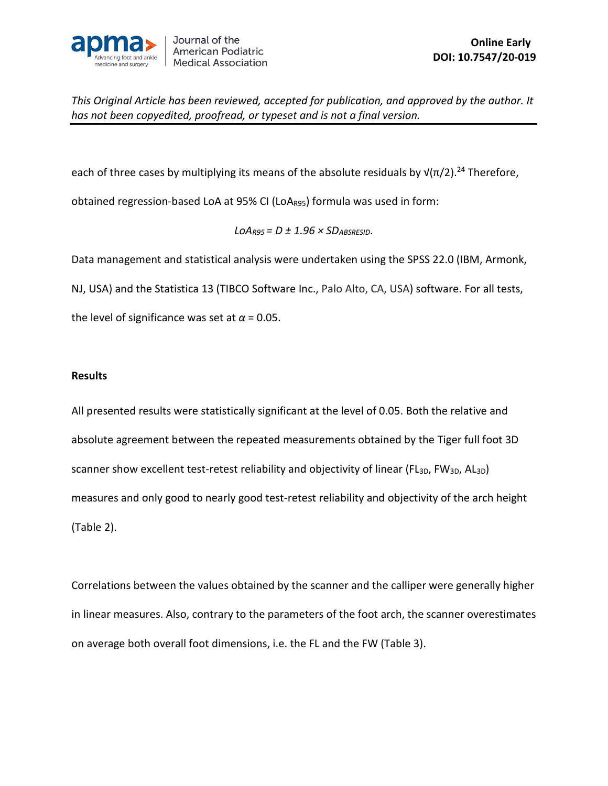

each of three cases by multiplying its means of the absolute residuals by  $\sqrt{\pi/2}$ .<sup>24</sup> Therefore,

obtained regression-based LoA at 95% CI (LoA<sub>R95</sub>) formula was used in form:

 $LOA_{R95} = D \pm 1.96 \times SD_{ABSREFSD}$ .

Data management and statistical analysis were undertaken using the SPSS 22.0 (IBM, Armonk,

NJ, USA) and the Statistica 13 (TIBCO Software Inc., Palo Alto, CA, USA) software. For all tests,

the level of significance was set at  $\alpha$  = 0.05.

#### **Results**

All presented results were statistically significant at the level of 0.05. Both the relative and absolute agreement between the repeated measurements obtained by the Tiger full foot 3D scanner show excellent test-retest reliability and objectivity of linear (FL<sub>3D</sub>, FW<sub>3D</sub>, AL<sub>3D</sub>) measures and only good to nearly good test-retest reliability and objectivity of the arch height (Table 2).

Correlations between the values obtained by the scanner and the calliper were generally higher in linear measures. Also, contrary to the parameters of the foot arch, the scanner overestimates on average both overall foot dimensions, i.e. the FL and the FW (Table 3).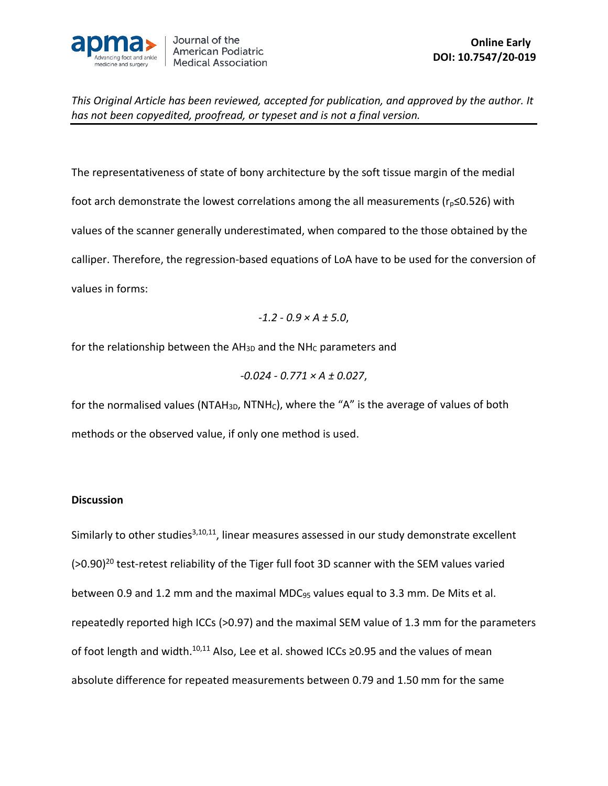

The representativeness of state of bony architecture by the soft tissue margin of the medial foot arch demonstrate the lowest correlations among the all measurements ( $r_p \le 0.526$ ) with values of the scanner generally underestimated, when compared to the those obtained by the calliper. Therefore, the regression-based equations of LoA have to be used for the conversion of values in forms:

$$
-1.2 - 0.9 \times A \pm 5.0
$$
,

for the relationship between the  $AH_{3D}$  and the NH<sub>C</sub> parameters and

$$
-0.024 - 0.771 \times A \pm 0.027,
$$

for the normalised values (NTAH<sub>3D</sub>, NTNH<sub>C</sub>), where the "A" is the average of values of both methods or the observed value, if only one method is used.

# **Discussion**

Similarly to other studies<sup>3,10,11</sup>, linear measures assessed in our study demonstrate excellent (>0.90)<sup>20</sup> test-retest reliability of the Tiger full foot 3D scanner with the SEM values varied between 0.9 and 1.2 mm and the maximal MDC<sub>95</sub> values equal to 3.3 mm. De Mits et al. repeatedly reported high ICCs (>0.97) and the maximal SEM value of 1.3 mm for the parameters of foot length and width.<sup>10,11</sup> Also, Lee et al. showed ICCs ≥0.95 and the values of mean absolute difference for repeated measurements between 0.79 and 1.50 mm for the same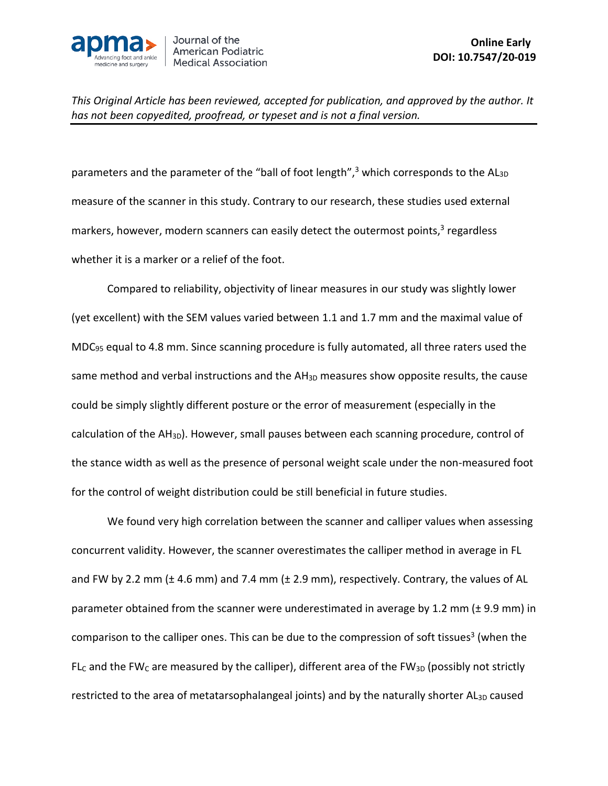

parameters and the parameter of the "ball of foot length",<sup>3</sup> which corresponds to the AL<sub>3D</sub> measure of the scanner in this study. Contrary to our research, these studies used external markers, however, modern scanners can easily detect the outermost points,<sup>3</sup> regardless whether it is a marker or a relief of the foot.

Compared to reliability, objectivity of linear measures in our study was slightly lower (yet excellent) with the SEM values varied between 1.1 and 1.7 mm and the maximal value of MDC95 equal to 4.8 mm. Since scanning procedure is fully automated, all three raters used the same method and verbal instructions and the AH<sub>3D</sub> measures show opposite results, the cause could be simply slightly different posture or the error of measurement (especially in the calculation of the AH<sub>3D</sub>). However, small pauses between each scanning procedure, control of the stance width as well as the presence of personal weight scale under the non-measured foot for the control of weight distribution could be still beneficial in future studies.

We found very high correlation between the scanner and calliper values when assessing concurrent validity. However, the scanner overestimates the calliper method in average in FL and FW by 2.2 mm ( $\pm$  4.6 mm) and 7.4 mm ( $\pm$  2.9 mm), respectively. Contrary, the values of AL parameter obtained from the scanner were underestimated in average by 1.2 mm (± 9.9 mm) in comparison to the calliper ones. This can be due to the compression of soft tissues<sup>3</sup> (when the FL<sub>C</sub> and the FW<sub>C</sub> are measured by the calliper), different area of the FW<sub>3D</sub> (possibly not strictly restricted to the area of metatarsophalangeal joints) and by the naturally shorter  $AI_{3D}$  caused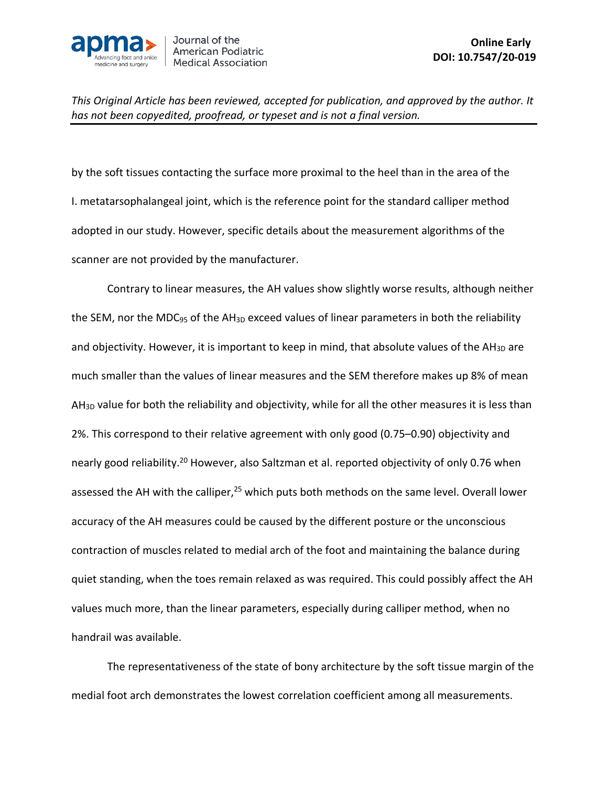

by the soft tissues contacting the surface more proximal to the heel than in the area of the I. metatarsophalangeal joint, which is the reference point for the standard calliper method adopted in our study. However, specific details about the measurement algorithms of the scanner are not provided by the manufacturer.

Contrary to linear measures, the AH values show slightly worse results, although neither the SEM, nor the MDC<sub>95</sub> of the AH<sub>3D</sub> exceed values of linear parameters in both the reliability and objectivity. However, it is important to keep in mind, that absolute values of the  $AH_{3D}$  are much smaller than the values of linear measures and the SEM therefore makes up 8% of mean AH<sub>3D</sub> value for both the reliability and objectivity, while for all the other measures it is less than 2%. This correspond to their relative agreement with only good (0.75–0.90) objectivity and nearly good reliability.<sup>20</sup> However, also Saltzman et al. reported objectivity of only 0.76 when assessed the AH with the calliper,<sup>25</sup> which puts both methods on the same level. Overall lower accuracy of the AH measures could be caused by the different posture or the unconscious contraction of muscles related to medial arch of the foot and maintaining the balance during quiet standing, when the toes remain relaxed as was required. This could possibly affect the AH values much more, than the linear parameters, especially during calliper method, when no handrail was available.

The representativeness of the state of bony architecture by the soft tissue margin of the medial foot arch demonstrates the lowest correlation coefficient among all measurements.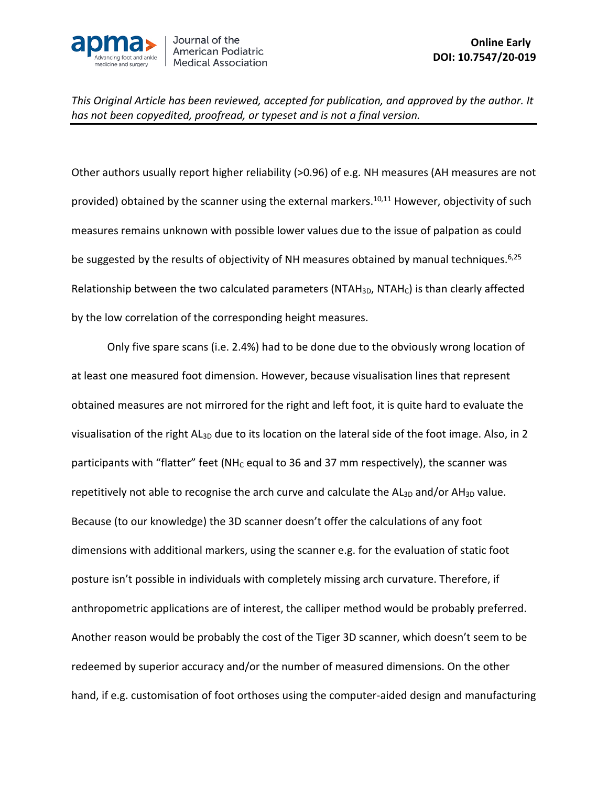

Other authors usually report higher reliability (>0.96) of e.g. NH measures (AH measures are not provided) obtained by the scanner using the external markers.<sup>10,11</sup> However, objectivity of such measures remains unknown with possible lower values due to the issue of palpation as could be suggested by the results of objectivity of NH measures obtained by manual techniques.<sup>6,25</sup> Relationship between the two calculated parameters (NTAH $_{3D}$ , NTAH $_{c}$ ) is than clearly affected by the low correlation of the corresponding height measures.

Only five spare scans (i.e. 2.4%) had to be done due to the obviously wrong location of at least one measured foot dimension. However, because visualisation lines that represent obtained measures are not mirrored for the right and left foot, it is quite hard to evaluate the visualisation of the right AL<sub>3D</sub> due to its location on the lateral side of the foot image. Also, in 2 participants with "flatter" feet (NH<sub>C</sub> equal to 36 and 37 mm respectively), the scanner was repetitively not able to recognise the arch curve and calculate the  $AI_{3D}$  and/or  $AH_{3D}$  value. Because (to our knowledge) the 3D scanner doesn't offer the calculations of any foot dimensions with additional markers, using the scanner e.g. for the evaluation of static foot posture isn't possible in individuals with completely missing arch curvature. Therefore, if anthropometric applications are of interest, the calliper method would be probably preferred. Another reason would be probably the cost of the Tiger 3D scanner, which doesn't seem to be redeemed by superior accuracy and/or the number of measured dimensions. On the other hand, if e.g. customisation of foot orthoses using the computer-aided design and manufacturing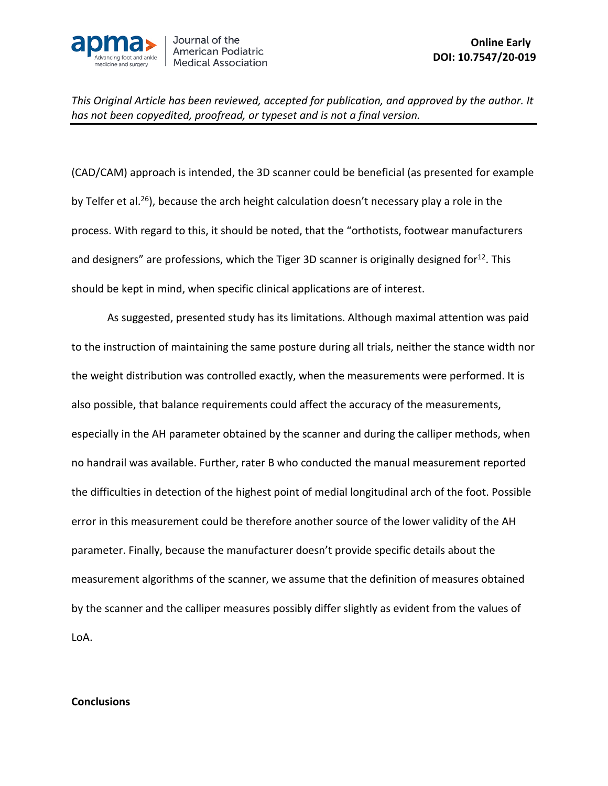

(CAD/CAM) approach is intended, the 3D scanner could be beneficial (as presented for example by Telfer et al.<sup>26</sup>), because the arch height calculation doesn't necessary play a role in the process. With regard to this, it should be noted, that the "orthotists, footwear manufacturers and designers" are professions, which the Tiger 3D scanner is originally designed for<sup>12</sup>. This should be kept in mind, when specific clinical applications are of interest.

As suggested, presented study has its limitations. Although maximal attention was paid to the instruction of maintaining the same posture during all trials, neither the stance width nor the weight distribution was controlled exactly, when the measurements were performed. It is also possible, that balance requirements could affect the accuracy of the measurements, especially in the AH parameter obtained by the scanner and during the calliper methods, when no handrail was available. Further, rater B who conducted the manual measurement reported the difficulties in detection of the highest point of medial longitudinal arch of the foot. Possible error in this measurement could be therefore another source of the lower validity of the AH parameter. Finally, because the manufacturer doesn't provide specific details about the measurement algorithms of the scanner, we assume that the definition of measures obtained by the scanner and the calliper measures possibly differ slightly as evident from the values of LoA.

#### **Conclusions**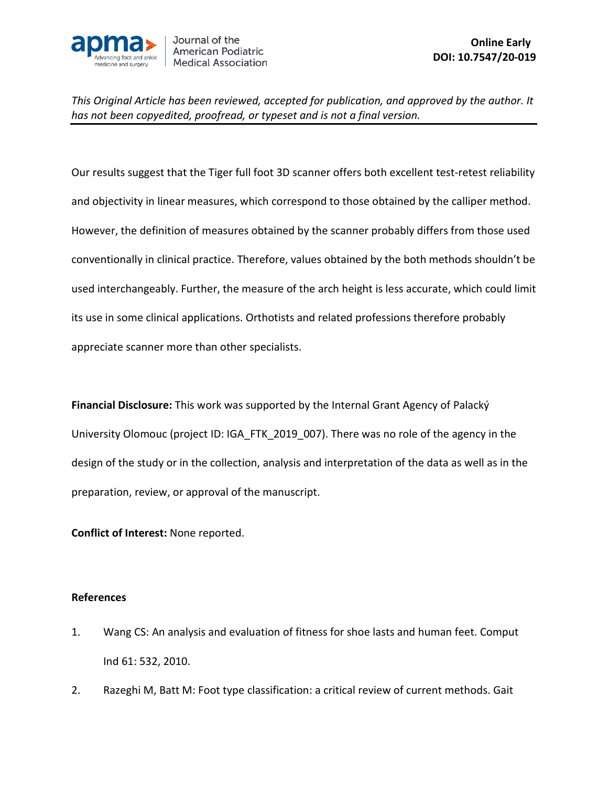

Our results suggest that the Tiger full foot 3D scanner offers both excellent test-retest reliability and objectivity in linear measures, which correspond to those obtained by the calliper method. However, the definition of measures obtained by the scanner probably differs from those used conventionally in clinical practice. Therefore, values obtained by the both methods shouldn't be used interchangeably. Further, the measure of the arch height is less accurate, which could limit its use in some clinical applications. Orthotists and related professions therefore probably appreciate scanner more than other specialists.

**Financial Disclosure:** This work was supported by the Internal Grant Agency of Palacký University Olomouc (project ID: IGA\_FTK\_2019\_007). There was no role of the agency in the design of the study or in the collection, analysis and interpretation of the data as well as in the preparation, review, or approval of the manuscript.

**Conflict of Interest:** None reported.

# **References**

- 1. Wang CS: An analysis and evaluation of fitness for shoe lasts and human feet. Comput Ind 61: 532, 2010.
- 2. Razeghi M, Batt M: Foot type classification: a critical review of current methods. Gait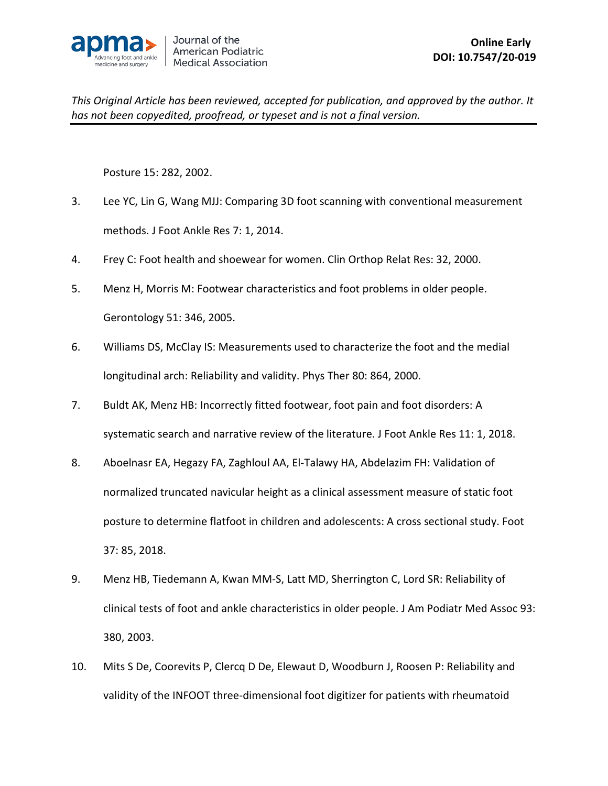

Posture 15: 282, 2002.

- 3. Lee YC, Lin G, Wang MJJ: Comparing 3D foot scanning with conventional measurement methods. J Foot Ankle Res 7: 1, 2014.
- 4. Frey C: Foot health and shoewear for women. Clin Orthop Relat Res: 32, 2000.
- 5. Menz H, Morris M: Footwear characteristics and foot problems in older people. Gerontology 51: 346, 2005.
- 6. Williams DS, McClay IS: Measurements used to characterize the foot and the medial longitudinal arch: Reliability and validity. Phys Ther 80: 864, 2000.
- 7. Buldt AK, Menz HB: Incorrectly fitted footwear, foot pain and foot disorders: A systematic search and narrative review of the literature. J Foot Ankle Res 11: 1, 2018.
- 8. Aboelnasr EA, Hegazy FA, Zaghloul AA, El-Talawy HA, Abdelazim FH: Validation of normalized truncated navicular height as a clinical assessment measure of static foot posture to determine flatfoot in children and adolescents: A cross sectional study. Foot 37: 85, 2018.
- 9. Menz HB, Tiedemann A, Kwan MM-S, Latt MD, Sherrington C, Lord SR: Reliability of clinical tests of foot and ankle characteristics in older people. J Am Podiatr Med Assoc 93: 380, 2003.
- 10. Mits S De, Coorevits P, Clercq D De, Elewaut D, Woodburn J, Roosen P: Reliability and validity of the INFOOT three-dimensional foot digitizer for patients with rheumatoid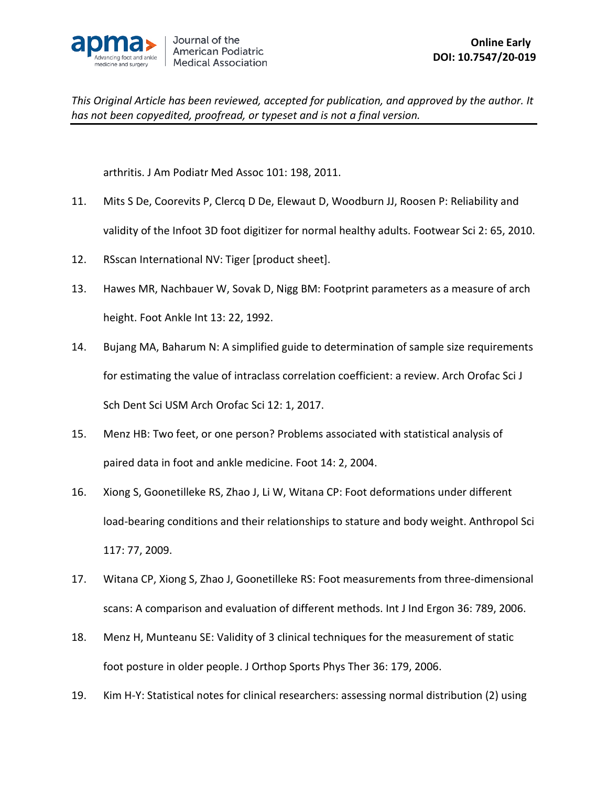

arthritis. J Am Podiatr Med Assoc 101: 198, 2011.

- 11. Mits S De, Coorevits P, Clercq D De, Elewaut D, Woodburn JJ, Roosen P: Reliability and validity of the Infoot 3D foot digitizer for normal healthy adults. Footwear Sci 2: 65, 2010.
- 12. RSscan International NV: Tiger [product sheet].
- 13. Hawes MR, Nachbauer W, Sovak D, Nigg BM: Footprint parameters as a measure of arch height. Foot Ankle Int 13: 22, 1992.
- 14. Bujang MA, Baharum N: A simplified guide to determination of sample size requirements for estimating the value of intraclass correlation coefficient: a review. Arch Orofac Sci J Sch Dent Sci USM Arch Orofac Sci 12: 1, 2017.
- 15. Menz HB: Two feet, or one person? Problems associated with statistical analysis of paired data in foot and ankle medicine. Foot 14: 2, 2004.
- 16. Xiong S, Goonetilleke RS, Zhao J, Li W, Witana CP: Foot deformations under different load-bearing conditions and their relationships to stature and body weight. Anthropol Sci 117: 77, 2009.
- 17. Witana CP, Xiong S, Zhao J, Goonetilleke RS: Foot measurements from three-dimensional scans: A comparison and evaluation of different methods. Int J Ind Ergon 36: 789, 2006.
- 18. Menz H, Munteanu SE: Validity of 3 clinical techniques for the measurement of static foot posture in older people. J Orthop Sports Phys Ther 36: 179, 2006.
- 19. Kim H-Y: Statistical notes for clinical researchers: assessing normal distribution (2) using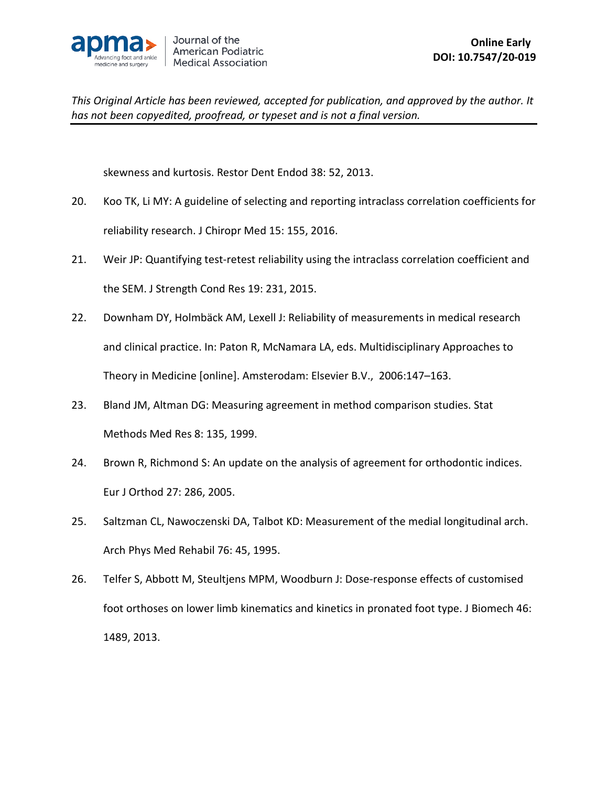

skewness and kurtosis. Restor Dent Endod 38: 52, 2013.

- 20. Koo TK, Li MY: A guideline of selecting and reporting intraclass correlation coefficients for reliability research. J Chiropr Med 15: 155, 2016.
- 21. Weir JP: Quantifying test-retest reliability using the intraclass correlation coefficient and the SEM. J Strength Cond Res 19: 231, 2015.
- 22. Downham DY, Holmbäck AM, Lexell J: Reliability of measurements in medical research and clinical practice. In: Paton R, McNamara LA, eds. Multidisciplinary Approaches to Theory in Medicine [online]. Amsterodam: Elsevier B.V., 2006:147–163.
- 23. Bland JM, Altman DG: Measuring agreement in method comparison studies. Stat Methods Med Res 8: 135, 1999.
- 24. Brown R, Richmond S: An update on the analysis of agreement for orthodontic indices. Eur J Orthod 27: 286, 2005.
- 25. Saltzman CL, Nawoczenski DA, Talbot KD: Measurement of the medial longitudinal arch. Arch Phys Med Rehabil 76: 45, 1995.
- 26. Telfer S, Abbott M, Steultjens MPM, Woodburn J: Dose-response effects of customised foot orthoses on lower limb kinematics and kinetics in pronated foot type. J Biomech 46: 1489, 2013.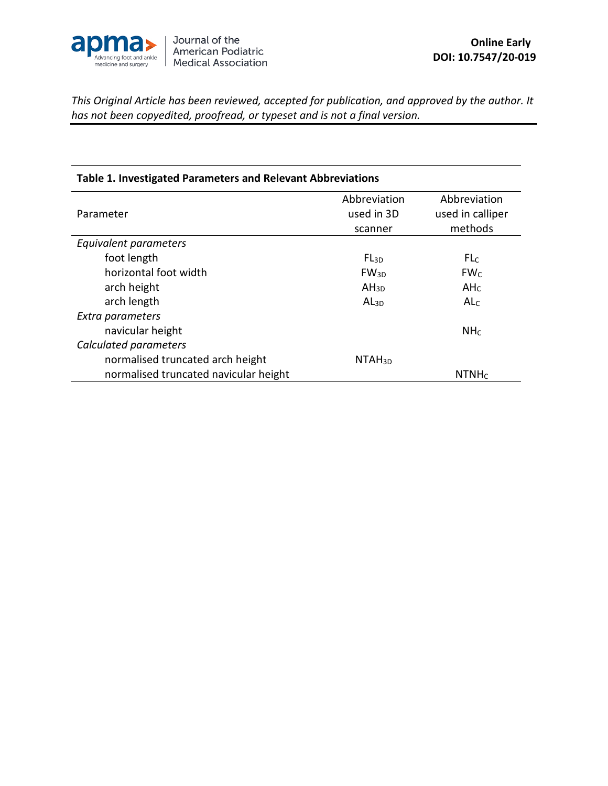

| Table 1. Investigated Parameters and Relevant Abbreviations |              |                   |  |  |  |  |
|-------------------------------------------------------------|--------------|-------------------|--|--|--|--|
|                                                             | Abbreviation | Abbreviation      |  |  |  |  |
| Parameter                                                   | used in 3D   | used in calliper  |  |  |  |  |
|                                                             | scanner      | methods           |  |  |  |  |
| Equivalent parameters                                       |              |                   |  |  |  |  |
| foot length                                                 | $FL_{3D}$    | FLC               |  |  |  |  |
| horizontal foot width                                       | $FW_{3D}$    | FW <sub>C</sub>   |  |  |  |  |
| arch height                                                 | $AH_{3D}$    | AH <sub>C</sub>   |  |  |  |  |
| arch length                                                 | $AL_{3D}$    | AL <sub>C</sub>   |  |  |  |  |
| Extra parameters                                            |              |                   |  |  |  |  |
| navicular height                                            |              | NH <sub>C</sub>   |  |  |  |  |
| Calculated parameters                                       |              |                   |  |  |  |  |
| normalised truncated arch height                            | $NTAH_{3D}$  |                   |  |  |  |  |
| normalised truncated navicular height                       |              | NTNH <sub>C</sub> |  |  |  |  |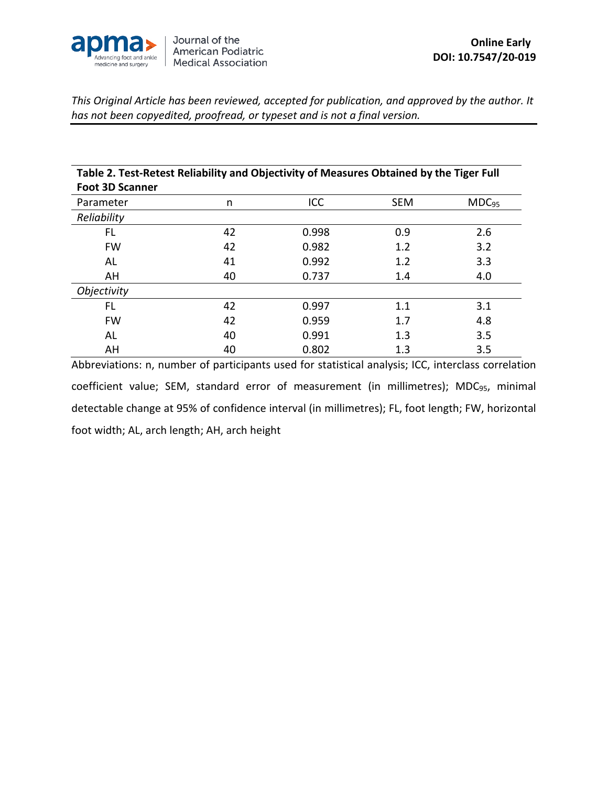

| Table 2. Test-Retest Reliability and Objectivity of Measures Obtained by the Tiger Full |    |       |            |                   |  |  |  |
|-----------------------------------------------------------------------------------------|----|-------|------------|-------------------|--|--|--|
| <b>Foot 3D Scanner</b>                                                                  |    |       |            |                   |  |  |  |
| Parameter                                                                               | n  | ICC   | <b>SEM</b> | MDC <sub>95</sub> |  |  |  |
| Reliability                                                                             |    |       |            |                   |  |  |  |
| FL                                                                                      | 42 | 0.998 | 0.9        | 2.6               |  |  |  |
| <b>FW</b>                                                                               | 42 | 0.982 | 1.2        | 3.2               |  |  |  |
| AL                                                                                      | 41 | 0.992 | 1.2        | 3.3               |  |  |  |
| AH                                                                                      | 40 | 0.737 | 1.4        | 4.0               |  |  |  |
| <i><b>Objectivity</b></i>                                                               |    |       |            |                   |  |  |  |
| FL                                                                                      | 42 | 0.997 | 1.1        | 3.1               |  |  |  |
| <b>FW</b>                                                                               | 42 | 0.959 | 1.7        | 4.8               |  |  |  |
| AL                                                                                      | 40 | 0.991 | 1.3        | 3.5               |  |  |  |
| AH                                                                                      | 40 | 0.802 | 1.3        | 3.5               |  |  |  |

Abbreviations: n, number of participants used for statistical analysis; ICC, interclass correlation coefficient value; SEM, standard error of measurement (in millimetres); MDC<sub>95</sub>, minimal detectable change at 95% of confidence interval (in millimetres); FL, foot length; FW, horizontal foot width; AL, arch length; AH, arch height